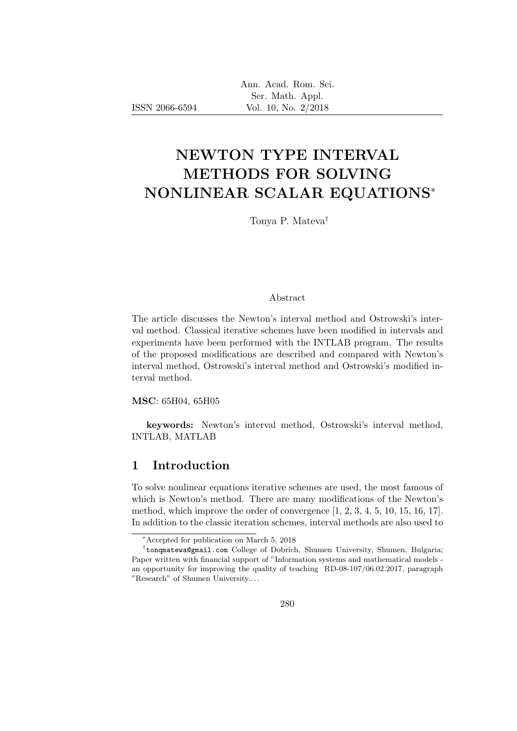# NEWTON TYPE INTERVAL METHODS FOR SOLVING NONLINEAR SCALAR EQUATIONS<sup>∗</sup>

Tonya P. Mateva†

#### Abstract

The article discusses the Newton's interval method and Ostrowski's interval method. Classical iterative schemes have been modified in intervals and experiments have been performed with the INTLAB program. The results of the proposed modifications are described and compared with Newton's interval method, Ostrowski's interval method and Ostrowski's modified interval method.

MSC: 65H04, 65H05

keywords: Newton's interval method, Ostrowski's interval method, INTLAB, MATLAB

# 1 Introduction

To solve nonlinear equations iterative schemes are used, the most famous of which is Newton's method. There are many modifications of the Newton's method, which improve the order of convergence  $[1, 2, 3, 4, 5, 10, 15, 16, 17]$ . In addition to the classic iteration schemes, interval methods are also used to

<sup>∗</sup>Accepted for publication on March 5, 2018

<sup>†</sup> tonqmatewa@gmail.com College of Dobrich, Shumen University, Shumen, Bulgaria; Paper written with financial support of "Information systems and mathematical models an opportunity for improving the quality of teaching RD-08-107/06.02.2017, paragraph "Research" of Shumen University.. . .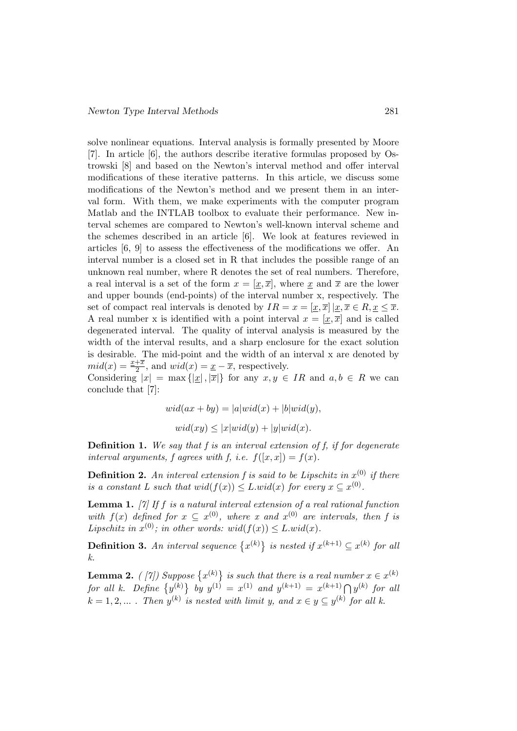solve nonlinear equations. Interval analysis is formally presented by Moore [7]. In article [6], the authors describe iterative formulas proposed by Ostrowski [8] and based on the Newton's interval method and offer interval modifications of these iterative patterns. In this article, we discuss some modifications of the Newton's method and we present them in an interval form. With them, we make experiments with the computer program Matlab and the INTLAB toolbox to evaluate their performance. New interval schemes are compared to Newton's well-known interval scheme and the schemes described in an article [6]. We look at features reviewed in articles [6, 9] to assess the effectiveness of the modifications we offer. An interval number is a closed set in R that includes the possible range of an unknown real number, where R denotes the set of real numbers. Therefore, a real interval is a set of the form  $x = [x, \overline{x}]$ , where x and  $\overline{x}$  are the lower and upper bounds (end-points) of the interval number x, respectively. The set of compact real intervals is denoted by  $IR = x = [x, \overline{x}] | x, \overline{x} \in R, \underline{x} \leq \overline{x}$ . A real number x is identified with a point interval  $x = [x, \overline{x}]$  and is called degenerated interval. The quality of interval analysis is measured by the width of the interval results, and a sharp enclosure for the exact solution is desirable. The mid-point and the width of an interval x are denoted by  $mid(x) = \frac{x + \overline{x}}{2}$ , and  $wid(x) = \underline{x} - \overline{x}$ , respectively.

Considering  $|x| = \max\left\{|\underline{x}|, |\overline{x}|\right\}$  for any  $x, y \in IR$  and  $a, b \in R$  we can conclude that [7]:

$$
wid(ax + by) = |a|wid(x) + |b|wid(y),
$$
  

$$
wid(xy) \le |x|wid(y) + |y|wid(x).
$$

**Definition 1.** We say that f is an interval extension of f, if for degenerate interval arguments, f agrees with f, i.e.  $f([x, x]) = f(x)$ .

**Definition 2.** An interval extension f is said to be Lipschitz in  $x^{(0)}$  if there is a constant L such that  $wid(f(x)) \leq L.wid(x)$  for every  $x \subseteq x^{(0)}$ .

**Lemma 1.** [7] If f is a natural interval extension of a real rational function with  $f(x)$  defined for  $x \subseteq x^{(0)}$ , where x and  $x^{(0)}$  are intervals, then f is Lipschitz in  $x^{(0)}$ ; in other words:  $wid(f(x)) \leq L.wid(x)$ .

**Definition 3.** An interval sequence  $\{x^{(k)}\}$  is nested if  $x^{(k+1)} \subseteq x^{(k)}$  for all k.

**Lemma 2.** ( [7]) Suppose  $\{x^{(k)}\}$  is such that there is a real number  $x \in x^{(k)}$ for all k. Define  $\{y^{(k)}\}$  by  $y^{(1)} = x^{(1)}$  and  $y^{(k+1)} = x^{(k+1)} \bigcap y^{(k)}$  for all  $k = 1, 2, ...$  Then  $y^{(k)}$  is nested with limit y, and  $x \in y \subseteq y^{(k)}$  for all k.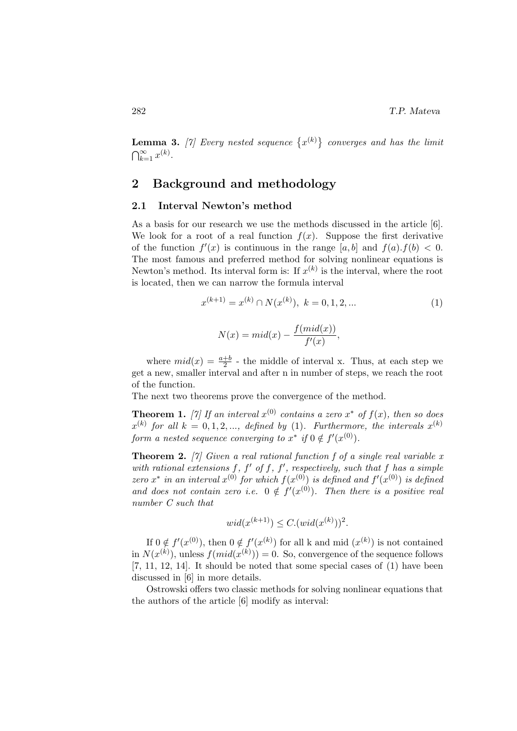**Lemma 3.** [7] Every nested sequence  $\{x^{(k)}\}$  converges and has the limit  $\bigcap_{k=1}^{\infty} x^{(k)}$ .

## 2 Background and methodology

#### 2.1 Interval Newton's method

As a basis for our research we use the methods discussed in the article [6]. We look for a root of a real function  $f(x)$ . Suppose the first derivative of the function  $f'(x)$  is continuous in the range  $[a, b]$  and  $f(a) \cdot f(b) < 0$ . The most famous and preferred method for solving nonlinear equations is Newton's method. Its interval form is: If  $x^{(k)}$  is the interval, where the root is located, then we can narrow the formula interval

$$
x^{(k+1)} = x^{(k)} \cap N(x^{(k)}), \ k = 0, 1, 2, \dots \tag{1}
$$

,

$$
N(x) = mid(x) - \frac{f(mid(x))}{f'(x)}
$$

where  $mid(x) = \frac{a+b}{2}$  - the middle of interval x. Thus, at each step we get a new, smaller interval and after n in number of steps, we reach the root of the function.

The next two theorems prove the convergence of the method.

**Theorem 1.** [7] If an interval  $x^{(0)}$  contains a zero  $x^*$  of  $f(x)$ , then so does  $x^{(k)}$  for all  $k = 0, 1, 2, \ldots$ , defined by (1). Furthermore, the intervals  $x^{(k)}$ form a nested sequence converging to  $x^*$  if  $0 \notin f'(x^{(0)})$ .

**Theorem 2.** [7] Given a real rational function f of a single real variable x with rational extensions  $f, f'$  of  $f, f'$ , respectively, such that  $f$  has a simple zero  $x^*$  in an interval  $x^{(0)}$  for which  $f(x^{(0)})$  is defined and  $f'(x^{(0)})$  is defined and does not contain zero i.e.  $0 \notin f'(x^{(0)})$ . Then there is a positive real number C such that

$$
wid(x^{(k+1)}) \le C.(wid(x^{(k)}))^2.
$$

If  $0 \notin f'(x^{(0)})$ , then  $0 \notin f'(x^{(k)})$  for all k and mid  $(x^{(k)})$  is not contained in  $N(x^{(k)})$ , unless  $f(mid(x^{(k)})) = 0$ . So, convergence of the sequence follows  $[7, 11, 12, 14]$ . It should be noted that some special cases of  $(1)$  have been discussed in [6] in more details.

Ostrowski offers two classic methods for solving nonlinear equations that the authors of the article [6] modify as interval: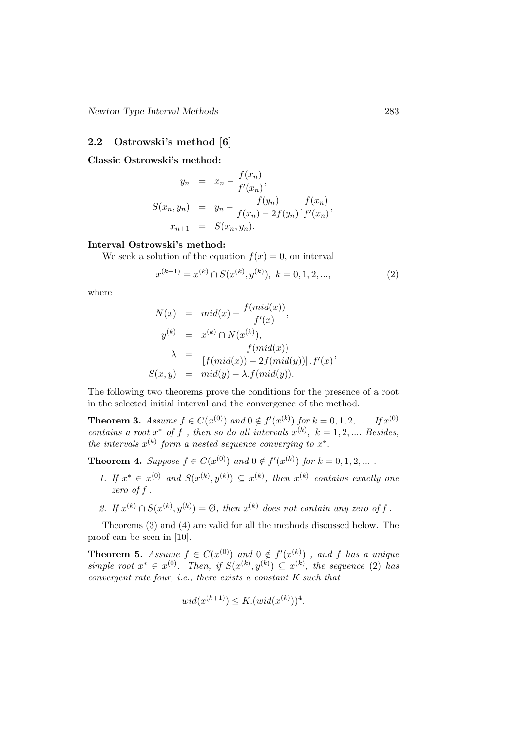#### 2.2 Ostrowski's method [6]

Classic Ostrowski's method:

$$
y_n = x_n - \frac{f(x_n)}{f'(x_n)},
$$
  
\n
$$
S(x_n, y_n) = y_n - \frac{f(y_n)}{f(x_n) - 2f(y_n)} \cdot \frac{f(x_n)}{f'(x_n)},
$$
  
\n
$$
x_{n+1} = S(x_n, y_n).
$$

#### Interval Ostrowski's method:

We seek a solution of the equation  $f(x) = 0$ , on interval

$$
x^{(k+1)} = x^{(k)} \cap S(x^{(k)}, y^{(k)}), \ k = 0, 1, 2, \dots,
$$
 (2)

 $f(x) = f(x)$ 

where

$$
N(x) = mid(x) - \frac{f(md(x))}{f'(x)},
$$
  
\n
$$
y^{(k)} = x^{(k)} \cap N(x^{(k)}),
$$
  
\n
$$
\lambda = \frac{f(md(x))}{[f(md(x)) - 2f(md(y))] \cdot f'(x)},
$$
  
\n
$$
S(x, y) = mid(y) - \lambda . f(md(y)).
$$

The following two theorems prove the conditions for the presence of a root in the selected initial interval and the convergence of the method.

**Theorem 3.** Assume  $f \in C(x^{(0)})$  and  $0 \notin f'(x^{(k)})$  for  $k = 0, 1, 2, ...$  . If  $x^{(0)}$ contains a root  $x^*$  of f, then so do all intervals  $x^{(k)}$ ,  $k = 1, 2, ...$  Besides, the intervals  $x^{(k)}$  form a nested sequence converging to  $x^*$ .

**Theorem 4.** Suppose  $f \in C(x^{(0)})$  and  $0 \notin f'(x^{(k)})$  for  $k = 0, 1, 2, ...$ .

- 1. If  $x^* \in x^{(0)}$  and  $S(x^{(k)}, y^{(k)}) \subseteq x^{(k)}$ , then  $x^{(k)}$  contains exactly one zero of f .
- 2. If  $x^{(k)} \cap S(x^{(k)}, y^{(k)}) = \emptyset$ , then  $x^{(k)}$  does not contain any zero of f.

Theorems (3) and (4) are valid for all the methods discussed below. The proof can be seen in [10].

**Theorem 5.** Assume  $f \in C(x^{(0)})$  and  $0 \notin f'(x^{(k)})$ , and f has a unique simple root  $x^* \in x^{(0)}$ . Then, if  $S(x^{(k)}, y^{(k)}) \subseteq x^{(k)}$ , the sequence (2) has convergent rate four, i.e., there exists a constant K such that

$$
wid(x^{(k+1)}) \le K.(wid(x^{(k)}))^4.
$$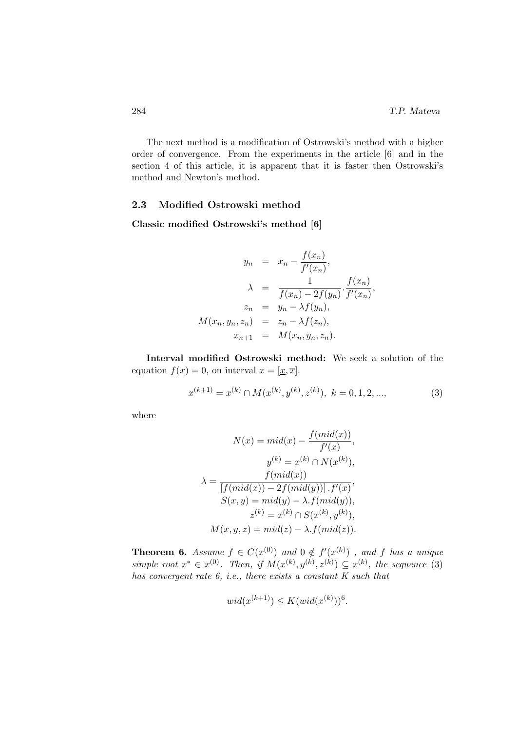The next method is a modification of Ostrowski's method with a higher order of convergence. From the experiments in the article [6] and in the section 4 of this article, it is apparent that it is faster then Ostrowski's method and Newton's method.

#### 2.3 Modified Ostrowski method

Classic modified Ostrowski's method [6]

$$
y_n = x_n - \frac{f(x_n)}{f'(x_n)},
$$
  
\n
$$
\lambda = \frac{1}{f(x_n) - 2f(y_n)} \cdot \frac{f(x_n)}{f'(x_n)},
$$
  
\n
$$
z_n = y_n - \lambda f(y_n),
$$
  
\n
$$
M(x_n, y_n, z_n) = z_n - \lambda f(z_n),
$$
  
\n
$$
x_{n+1} = M(x_n, y_n, z_n).
$$

Interval modified Ostrowski method: We seek a solution of the equation  $f(x) = 0$ , on interval  $x = [\underline{x}, \overline{x}].$ 

$$
x^{(k+1)} = x^{(k)} \cap M(x^{(k)}, y^{(k)}, z^{(k)}), \ k = 0, 1, 2, \dots,
$$
 (3)

where

$$
N(x) = mid(x) - \frac{f(md(x))}{f'(x)},
$$

$$
y^{(k)} = x^{(k)} \cap N(x^{(k)}),
$$

$$
\lambda = \frac{f(md(x))}{[f(md(x)) - 2f(md(y))] \cdot f'(x)},
$$

$$
S(x, y) = mid(y) - \lambda . f(md(y)),
$$

$$
z^{(k)} = x^{(k)} \cap S(x^{(k)}, y^{(k)}),
$$

$$
M(x, y, z) = mid(z) - \lambda . f(md(z)).
$$

**Theorem 6.** Assume  $f \in C(x^{(0)})$  and  $0 \notin f'(x^{(k)})$ , and f has a unique simple root  $x^* \in x^{(0)}$ . Then, if  $M(x^{(k)}, y^{(k)}, z^{(k)}) \subseteq x^{(k)}$ , the sequence (3) has convergent rate  $6$ , *i.e.*, there exists a constant  $K$  such that

$$
wid(x^{(k+1)}) \le K(wid(x^{(k)}))^6.
$$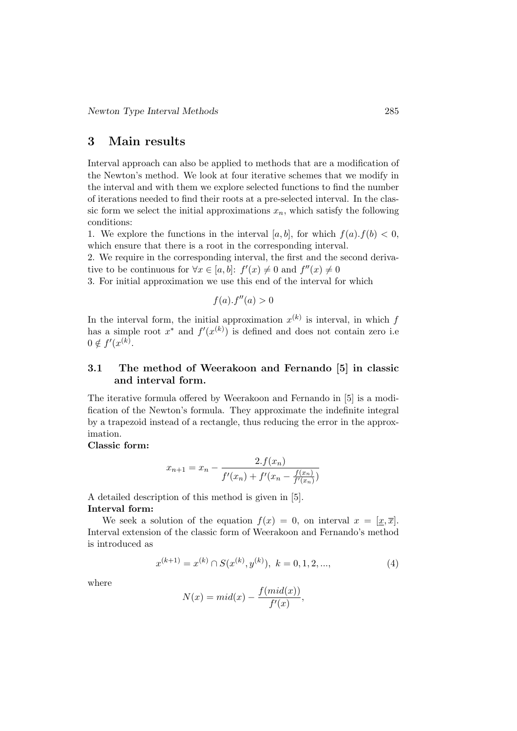# 3 Main results

Interval approach can also be applied to methods that are a modification of the Newton's method. We look at four iterative schemes that we modify in the interval and with them we explore selected functions to find the number of iterations needed to find their roots at a pre-selected interval. In the classic form we select the initial approximations  $x_n$ , which satisfy the following conditions:

1. We explore the functions in the interval [a, b], for which  $f(a) \cdot f(b) < 0$ , which ensure that there is a root in the corresponding interval.

2. We require in the corresponding interval, the first and the second derivative to be continuous for  $\forall x \in [a, b]$ :  $f'(x) \neq 0$  and  $f''(x) \neq 0$ 

3. For initial approximation we use this end of the interval for which

$$
f(a).f''(a) > 0
$$

In the interval form, the initial approximation  $x^{(k)}$  is interval, in which f has a simple root  $x^*$  and  $f'(x^{(k)})$  is defined and does not contain zero i.e  $0 \notin f'(x^{(k)}).$ 

# 3.1 The method of Weerakoon and Fernando [5] in classic and interval form.

The iterative formula offered by Weerakoon and Fernando in [5] is a modification of the Newton's formula. They approximate the indefinite integral by a trapezoid instead of a rectangle, thus reducing the error in the approximation.

#### Classic form:

$$
x_{n+1} = x_n - \frac{2 \cdot f(x_n)}{f'(x_n) + f'(x_n - \frac{f(x_n)}{f'(x_n)})}
$$

A detailed description of this method is given in [5].

#### Interval form:

We seek a solution of the equation  $f(x) = 0$ , on interval  $x = [x, \overline{x}]$ . Interval extension of the classic form of Weerakoon and Fernando's method is introduced as

$$
x^{(k+1)} = x^{(k)} \cap S(x^{(k)}, y^{(k)}), \ k = 0, 1, 2, \dots,
$$
 (4)

where

$$
N(x) = mid(x) - \frac{f(mid(x))}{f'(x)},
$$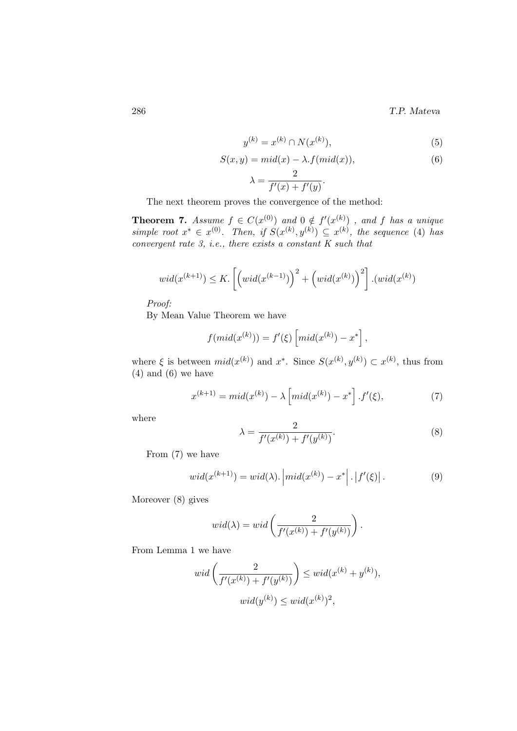286 T.P. Mateva

$$
y^{(k)} = x^{(k)} \cap N(x^{(k)}),\tag{5}
$$

$$
S(x, y) = mid(x) - \lambda \cdot f(mid(x)), \qquad (6)
$$

$$
\lambda = \frac{2}{f'(x) + f'(y)}.
$$

The next theorem proves the convergence of the method:

**Theorem 7.** Assume  $f \in C(x^{(0)})$  and  $0 \notin f'(x^{(k)})$ , and f has a unique simple root  $x^* \in x^{(0)}$ . Then, if  $S(x^{(k)}, y^{(k)}) \subseteq x^{(k)}$ , the sequence (4) has  $convergent\ rate\ 3, \ i.e., \ there\ exists\ a\ constant\ K\ such\ that$ 

$$
wid(x^{(k+1)}) \leq K. \left[ \left(wid(x^{(k-1)})\right)^2 + \left(wid(x^{(k)})\right)^2 \right].(wid(x^{(k)})
$$

Proof:

By Mean Value Theorem we have

$$
f(mid(x^{(k)})) = f'(\xi) [mid(x^{(k)}) - x^*],
$$

where  $\xi$  is between  $mid(x^{(k)})$  and  $x^*$ . Since  $S(x^{(k)}, y^{(k)}) \subset x^{(k)}$ , thus from  $(4)$  and  $(6)$  we have

$$
x^{(k+1)} = mid(x^{(k)}) - \lambda \left[ mid(x^{(k)}) - x^* \right].f'(\xi), \tag{7}
$$

where

$$
\lambda = \frac{2}{f'(x^{(k)}) + f'(y^{(k)})}.
$$
\n(8)

From (7) we have

$$
wid(x^{(k+1)}) = wid(\lambda). \left| mid(x^{(k)}) - x^* \right| . \left| f'(\xi) \right|.
$$
 (9)

Moreover (8) gives

$$
wid(\lambda) = wid\left(\frac{2}{f'(x^{(k)}) + f'(y^{(k)})}\right).
$$

From Lemma 1 we have

$$
wid\left(\frac{2}{f'(x^{(k)}) + f'(y^{(k)})}\right) \leq wid(x^{(k)} + y^{(k)}),
$$
  

$$
wid(y^{(k)}) \leq wid(x^{(k)})^2,
$$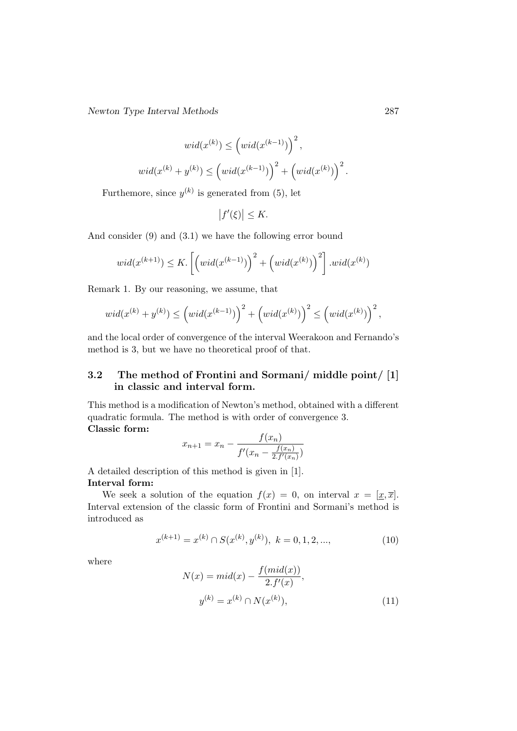Newton Type Interval Methods 287

$$
wid(x^{(k)}) \leq (wid(x^{(k-1)})^2,
$$
  

$$
wid(x^{(k)} + y^{(k)}) \leq (wid(x^{(k-1)})^2 + (wid(x^{(k)}))^2.
$$

Furthemore, since  $y^{(k)}$  is generated from (5), let

$$
\left|f'(\xi)\right| \leq K.
$$

And consider (9) and (3.1) we have the following error bound

$$
wid(x^{(k+1)}) \le K. \left[ \left(wid(x^{(k-1)})\right)^2 + \left(wid(x^{(k)})\right)^2 \right].wid(x^{(k)})
$$

Remark 1. By our reasoning, we assume, that

$$
wid(x^{(k)} + y^{(k)}) \le (wid(x^{(k-1)})^2 + (wid(x^{(k)}))^2 \le (wid(x^{(k)}))^2,
$$

and the local order of convergence of the interval Weerakoon and Fernando's method is 3, but we have no theoretical proof of that.

# 3.2 The method of Frontini and Sormani/ middle point/ [1] in classic and interval form.

This method is a modification of Newton's method, obtained with a different quadratic formula. The method is with order of convergence 3. Classic form:

$$
x_{n+1} = x_n - \frac{f(x_n)}{f'(x_n - \frac{f(x_n)}{2 \cdot f'(x_n)})}
$$

A detailed description of this method is given in [1].

#### Interval form:

We seek a solution of the equation  $f(x) = 0$ , on interval  $x = [\underline{x}, \overline{x}]$ . Interval extension of the classic form of Frontini and Sormani's method is introduced as

$$
x^{(k+1)} = x^{(k)} \cap S(x^{(k)}, y^{(k)}), \ k = 0, 1, 2, \dots,
$$
 (10)

where

$$
N(x) = mid(x) - \frac{f(mid(x))}{2 \cdot f'(x)},
$$
  

$$
y^{(k)} = x^{(k)} \cap N(x^{(k)}),
$$
 (11)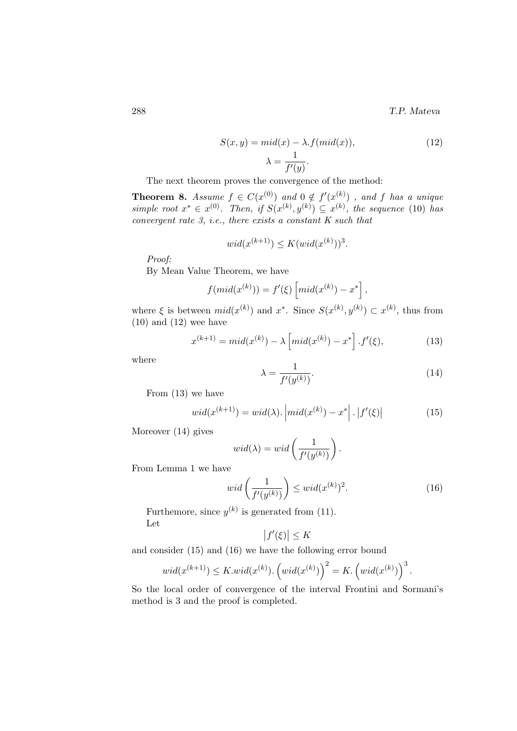288 T.P. Mateva

$$
S(x, y) = mid(x) - \lambda \cdot f(mid(x)),
$$
  
\n
$$
\lambda = \frac{1}{f'(y)}.
$$
\n(12)

The next theorem proves the convergence of the method:

**Theorem 8.** Assume  $f \in C(x^{(0)})$  and  $0 \notin f'(x^{(k)})$ , and f has a unique simple root  $x^* \in x^{(0)}$ . Then, if  $S(x^{(k)}, y^{(k)}) \subseteq x^{(k)}$ , the sequence (10) has convergent rate  $3$ , i.e., there exists a constant  $K$  such that

$$
wid(x^{(k+1)}) \le K(wid(x^{(k)}))^3.
$$

Proof:

By Mean Value Theorem, we have

$$
f(mid(x^{(k)})) = f'(\xi) [mid(x^{(k)}) - x^*],
$$

where  $\xi$  is between  $mid(x^{(k)})$  and  $x^*$ . Since  $S(x^{(k)}, y^{(k)}) \subset x^{(k)}$ , thus from  $(10)$  and  $(12)$  wee have

$$
x^{(k+1)} = mid(x^{(k)}) - \lambda \left[ mid(x^{(k)}) - x^* \right].f'(\xi), \tag{13}
$$

where

$$
\lambda = \frac{1}{f'(y^{(k)})}.\tag{14}
$$

From (13) we have

$$
wid(x^{(k+1)}) = wid(\lambda) \cdot \left| mid(x^{(k)}) - x^* \right| \cdot \left| f'(\xi) \right| \tag{15}
$$

Moreover (14) gives

$$
wid(\lambda) = wid\left(\frac{1}{f'(y^{(k)})}\right).
$$

From Lemma 1 we have

$$
wid\left(\frac{1}{f'(y^{(k)})}\right) \leq wid(x^{(k)})^2. \tag{16}
$$

Furthemore, since  $y^{(k)}$  is generated from (11). Let

$$
\big|f'(\xi)\big|\leq K
$$

and consider (15) and (16) we have the following error bound

$$
wid(x^{(k+1)}) \le K.wid(x^{(k)}). (wid(x^{(k)}))^{2} = K. (wid(x^{(k)}))^{3}.
$$

So the local order of convergence of the interval Frontini and Sormani's method is 3 and the proof is completed.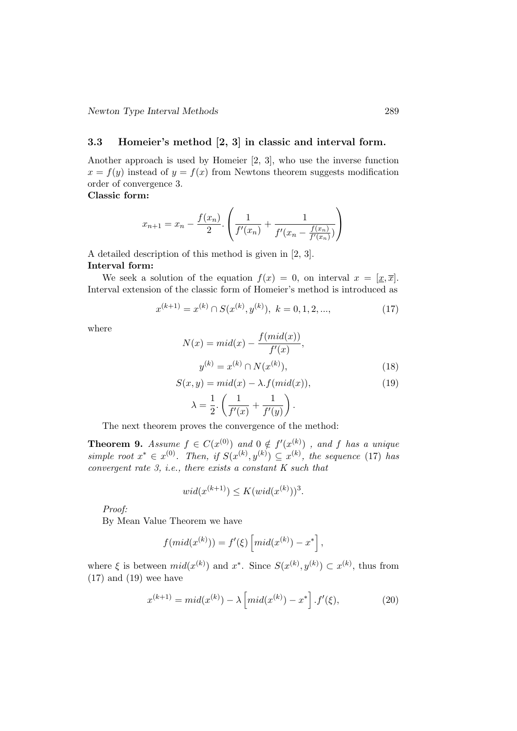Newton Type Interval Methods 289

#### 3.3 Homeier's method [2, 3] in classic and interval form.

Another approach is used by Homeier [2, 3], who use the inverse function  $x = f(y)$  instead of  $y = f(x)$  from Newtons theorem suggests modification order of convergence 3.

Classic form:

$$
x_{n+1} = x_n - \frac{f(x_n)}{2} \cdot \left( \frac{1}{f'(x_n)} + \frac{1}{f'(x_n - \frac{f(x_n)}{f'(x_n)})} \right)
$$

A detailed description of this method is given in [2, 3]. Interval form:

We seek a solution of the equation  $f(x) = 0$ , on interval  $x = [x, \overline{x}]$ . Interval extension of the classic form of Homeier's method is introduced as

$$
x^{(k+1)} = x^{(k)} \cap S(x^{(k)}, y^{(k)}), \ k = 0, 1, 2, \dots,
$$
\n(17)

where

$$
N(x) = mid(x) - \frac{f(mid(x))}{f'(x)},
$$
  

$$
y^{(k)} = x^{(k)} \cap N(x^{(k)}),
$$
 (18)

$$
S(x, y) = mid(x) - \lambda \cdot f(mid(x)),
$$
\n
$$
\begin{array}{c}\n1 \\
1\n\end{array}
$$
\n(19)

$$
\lambda = \frac{1}{2} \cdot \left( \frac{1}{f'(x)} + \frac{1}{f'(y)} \right).
$$

The next theorem proves the convergence of the method:

**Theorem 9.** Assume  $f \in C(x^{(0)})$  and  $0 \notin f'(x^{(k)})$ , and f has a unique simple root  $x^* \in x^{(0)}$ . Then, if  $S(x^{(k)}, y^{(k)}) \subseteq x^{(k)}$ , the sequence (17) has convergent rate 3, i.e., there exists a constant K such that

$$
wid(x^{(k+1)}) \le K(wid(x^{(k)}))^3.
$$

Proof:

By Mean Value Theorem we have

$$
f(mid(x^{(k)})) = f'(\xi) [mid(x^{(k)}) - x^*],
$$

where  $\xi$  is between  $mid(x^{(k)})$  and  $x^*$ . Since  $S(x^{(k)}, y^{(k)}) \subset x^{(k)}$ , thus from  $(17)$  and  $(19)$  wee have

$$
x^{(k+1)} = mid(x^{(k)}) - \lambda \left[ mid(x^{(k)}) - x^* \right].f'(\xi), \tag{20}
$$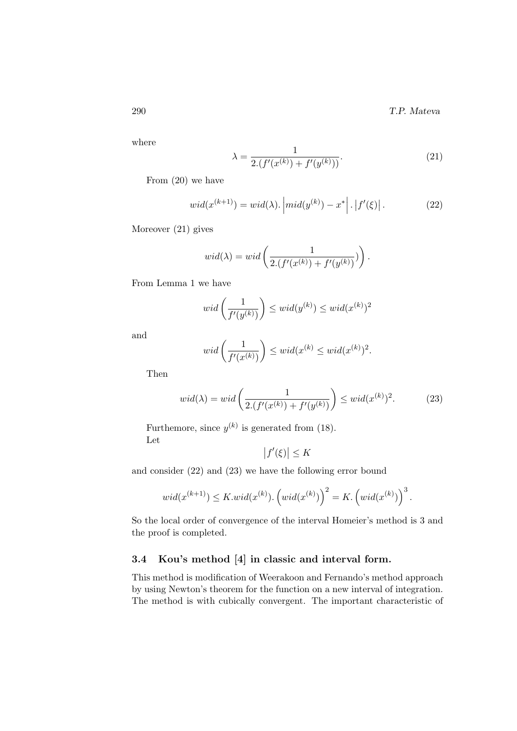where

$$
\lambda = \frac{1}{2.(f'(x^{(k)}) + f'(y^{(k)}))}.
$$
\n(21)

From (20) we have

$$
wid(x^{(k+1)}) = wid(\lambda). \left| mid(y^{(k)}) - x^* \right| . |f'(\xi)|.
$$
 (22)

Moreover (21) gives

$$
wid(\lambda) = wid\left(\frac{1}{2.(f'(x^{(k)}) + f'(y^{(k)})}\right).
$$

From Lemma 1 we have

$$
wid\left(\frac{1}{f'(y^{(k)})}\right) \leq wid(y^{(k)}) \leq wid(x^{(k)})^2
$$

and

$$
wid\left(\frac{1}{f'(x^{(k)})}\right) \leq wid(x^{(k)} \leq wid(x^{(k)})^2.
$$

Then

$$
wid(\lambda) = wid\left(\frac{1}{2.(f'(x^{(k)}) + f'(y^{(k)})}\right) \leq wid(x^{(k)})^2. \tag{23}
$$

Furthemore, since  $y^{(k)}$  is generated from (18). Let

 $|f'(\xi)| \leq K$ 

and consider (22) and (23) we have the following error bound

$$
wid(x^{(k+1)}) \le K.wid(x^{(k)}). (wid(x^{(k)}))^{2} = K. (wid(x^{(k)}))^{3}.
$$

So the local order of convergence of the interval Homeier's method is 3 and the proof is completed.

# 3.4 Kou's method [4] in classic and interval form.

This method is modification of Weerakoon and Fernando's method approach by using Newton's theorem for the function on a new interval of integration. The method is with cubically convergent. The important characteristic of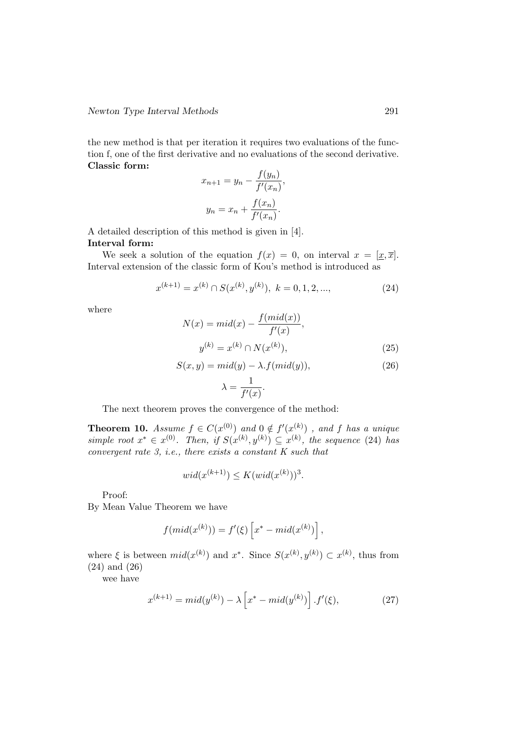the new method is that per iteration it requires two evaluations of the function f, one of the first derivative and no evaluations of the second derivative. Classic form:  $f(x)$ 

$$
x_{n+1} = y_n - \frac{f(y_n)}{f'(x_n)},
$$
  

$$
y_n = x_n + \frac{f(x_n)}{f'(x_n)}.
$$

A detailed description of this method is given in [4]. Interval form:

We seek a solution of the equation  $f(x) = 0$ , on interval  $x = [x, \overline{x}]$ . Interval extension of the classic form of Kou's method is introduced as

$$
x^{(k+1)} = x^{(k)} \cap S(x^{(k)}, y^{(k)}), \ k = 0, 1, 2, \dots,
$$
 (24)

where

$$
N(x) = mid(x) - \frac{f(mid(x))}{f'(x)},
$$
  

$$
y^{(k)} = x^{(k)} \cap N(x^{(k)}),
$$
 (25)

$$
S(x, y) = mid(y) - \lambda \cdot f(mid(y)),
$$
\n
$$
\lambda = \frac{1}{f'(x)}.
$$
\n(26)

The next theorem proves the convergence of the method:

**Theorem 10.** Assume  $f \in C(x^{(0)})$  and  $0 \notin f'(x^{(k)})$ , and f has a unique simple root  $x^* \in x^{(0)}$ . Then, if  $S(x^{(k)}, y^{(k)}) \subseteq x^{(k)}$ , the sequence (24) has convergent rate  $3$ , i.e., there exists a constant  $K$  such that

$$
wid(x^{(k+1)}) \le K(wid(x^{(k)}))^3.
$$

Proof:

By Mean Value Theorem we have

$$
f(mid(x^{(k)})) = f'(\xi) \left[ x^* - mid(x^{(k)}) \right],
$$

where  $\xi$  is between  $mid(x^{(k)})$  and  $x^*$ . Since  $S(x^{(k)}, y^{(k)}) \subset x^{(k)}$ , thus from (24) and (26)

wee have

$$
x^{(k+1)} = mid(y^{(k)}) - \lambda \left[ x^* - mid(y^{(k)}) \right].f'(\xi), \tag{27}
$$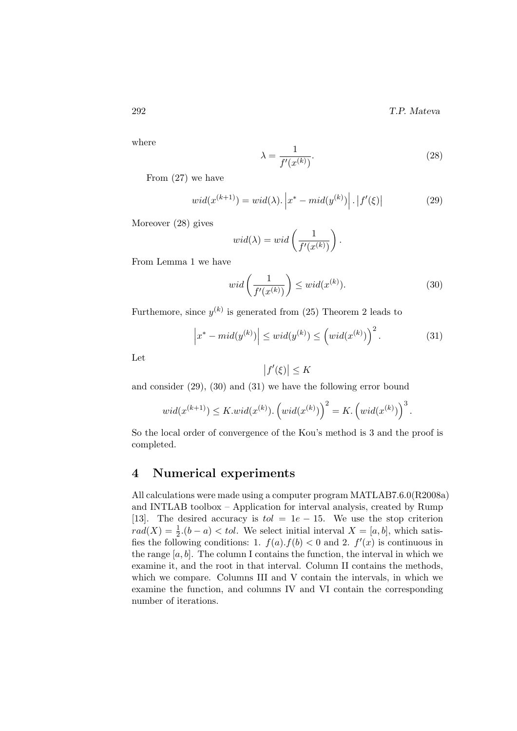where

$$
\lambda = \frac{1}{f'(x^{(k)})}.\tag{28}
$$

From (27) we have

$$
wid(x^{(k+1)}) = wid(\lambda) \cdot \left| x^* - mid(y^{(k)}) \right| \cdot |f'(\xi)| \tag{29}
$$

Moreover (28) gives

$$
wid(\lambda) = wid\left(\frac{1}{f'(x^{(k)})}\right).
$$

From Lemma 1 we have

$$
wid\left(\frac{1}{f'(x^{(k)})}\right) \leq wid(x^{(k)}).
$$
\n(30)

Furthemore, since  $y^{(k)}$  is generated from (25) Theorem 2 leads to

$$
\left| x^* - mid(y^{(k)}) \right| \leq wid(y^{(k)}) \leq \left( wid(x^{(k)}) \right)^2. \tag{31}
$$

Let

$$
\left|f'(\xi)\right| \leq K
$$

and consider (29), (30) and (31) we have the following error bound

$$
wid(x^{(k+1)}) \le K.wid(x^{(k)}). (wid(x^{(k)}))^{2} = K. (wid(x^{(k)}))^{3}.
$$

So the local order of convergence of the Kou's method is 3 and the proof is completed.

# 4 Numerical experiments

All calculations were made using a computer program MATLAB7.6.0(R2008a) and INTLAB toolbox – Application for interval analysis, created by Rump [13]. The desired accuracy is  $tol = 1e - 15$ . We use the stop criterion  $rad(X) = \frac{1}{2}(b-a) < tol.$  We select initial interval  $X = [a, b]$ , which satisfies the following conditions: 1.  $f(a) \cdot f(b) < 0$  and 2.  $f'(x)$  is continuous in the range  $[a, b]$ . The column I contains the function, the interval in which we examine it, and the root in that interval. Column II contains the methods, which we compare. Columns III and V contain the intervals, in which we examine the function, and columns IV and VI contain the corresponding number of iterations.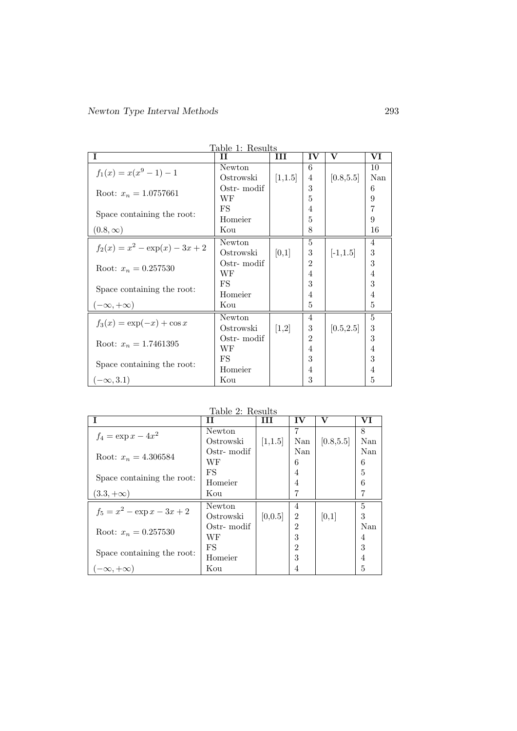| T                                 | H           | III     | <b>IV</b>      | v          | VI  |
|-----------------------------------|-------------|---------|----------------|------------|-----|
| $f_1(x) = x(x^9 - 1) - 1$         | Newton      |         | 6              |            | 10  |
|                                   | Ostrowski   | [1,1.5] | 4              | [0.8, 5.5] | Nan |
| Root: $x_n = 1.0757661$           | Ostr- modif |         | 3              |            | 6   |
|                                   | WF          |         | 5              |            | 9   |
| Space containing the root:        | FS          |         | 4              |            | 7   |
|                                   | Homeier     |         | 5              |            | 9   |
| $(0.8,\infty)$                    | Kou         |         | 8              |            | 16  |
| $f_2(x) = x^2 - \exp(x) - 3x + 2$ | Newton      |         | 5              |            | 4   |
|                                   | Ostrowski   | [0,1]   | 3              | $[-1,1.5]$ | 3   |
| Root: $x_n = 0.257530$            | Ostr- modif |         | $\overline{2}$ |            | 3   |
|                                   | WF          |         | 4              |            | 4   |
| Space containing the root:        | FS          |         | 3              |            | 3   |
|                                   | Homeier     |         | 4              |            | 4   |
| $(-\infty, +\infty)$              | Kou         |         | 5              |            | 5   |
| $f_3(x) = \exp(-x) + \cos x$      | Newton      |         | 4              |            | 5   |
|                                   | Ostrowski   | [1,2]   | 3              | [0.5, 2.5] | 3   |
| Root: $x_n = 1.7461395$           | Ostr- modif |         | $\overline{2}$ |            | 3   |
|                                   | WF          |         | 4              |            | 4   |
| Space containing the root:        | FS          |         | 3              |            | 3   |
|                                   | Homeier     |         | 4              |            | 4   |
| $(-\infty,3.1)$                   | Kou         |         | 3              |            | 5   |

Table 1: Results

Table 2: Results

|                               | $\texttt{10010}$ $\texttt{2:}$ $\texttt{1000}$<br>Н | Ħ        | IV             | v          | VI  |
|-------------------------------|-----------------------------------------------------|----------|----------------|------------|-----|
| $f_4 = \exp x - 4x^2$         | Newton                                              |          |                |            | 8   |
|                               | Ostrowski                                           | [1,1.5]  | Nan            | [0.8, 5.5] | Nan |
| Root: $x_n = 4.306584$        | Ostr- modif                                         |          | Nan            |            | Nan |
|                               | WF                                                  |          | 6              |            | 6   |
| Space containing the root:    | FS                                                  |          | 4              |            | 5   |
|                               | Homeier                                             |          | 4              |            | 6   |
| $(3.3, +\infty)$              | Kou                                                 |          |                |            |     |
| $f_5 = x^2 - \exp x - 3x + 2$ | Newton                                              |          | 4              |            | 5   |
|                               | Ostrowski                                           | [0, 0.5] | $\overline{2}$ | [0,1]      | 3   |
| Root: $x_n = 0.257530$        | Ostr-modif                                          |          | $\overline{2}$ |            | Nan |
|                               | WF                                                  |          | 3              |            | 4   |
| Space containing the root:    | FS                                                  |          | $\overline{2}$ |            | 3   |
|                               | Homeier                                             |          | 3              |            | 4   |
| $-\infty, +\infty)$           | Kou                                                 |          | 4              |            | 5   |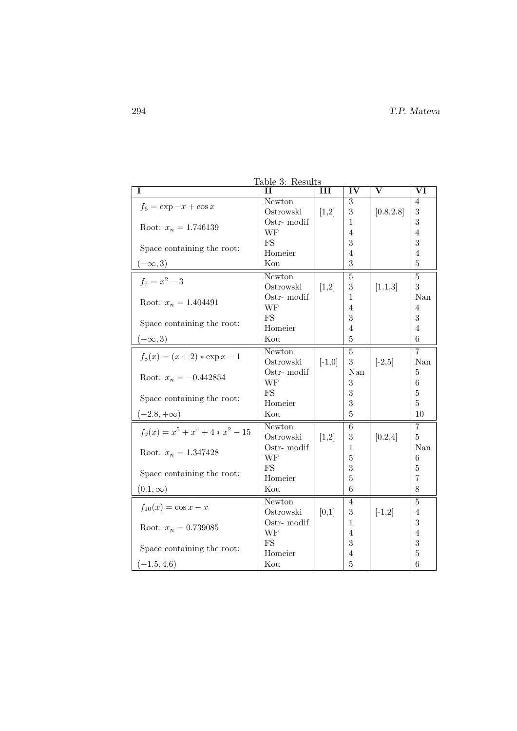| I                                   | <u> Iable 3: Results</u><br>Н | Ш        | $\overline{\text{IV}}$ | $\overline{\mathbf{V}}$ | VI                   |
|-------------------------------------|-------------------------------|----------|------------------------|-------------------------|----------------------|
| $f_6 = \exp(x) - x + \cos x$        | Newton                        |          | 3                      |                         | 4                    |
|                                     | Ostrowski                     | [1,2]    | 3                      | [0.8, 2.8]              | 3                    |
| Root: $x_n = 1.746139$              | Ostr- modif                   |          | $\mathbf{1}$           |                         | 3                    |
|                                     | WF                            |          | $\overline{4}$         |                         | $\overline{4}$       |
| Space containing the root:          | <b>FS</b>                     |          | 3                      |                         | 3                    |
|                                     | Homeier                       |          | $\overline{4}$         |                         | $\overline{4}$       |
| $(-\infty,3)$                       | Kou                           |          | 3                      |                         | $\overline{5}$       |
| $f_7 = x^2 - 3$                     | Newton                        |          | 5                      |                         | $\mathbf 5$          |
|                                     | Ostrowski                     | [1,2]    | 3                      | [1.1,3]                 | 3                    |
| Root: $x_n = 1.404491$              | Ostr- modif                   |          | 1                      |                         | Nan                  |
|                                     | WF                            |          | 4                      |                         | 4                    |
|                                     | FS                            |          | 3                      |                         | 3                    |
| Space containing the root:          | Homeier                       |          | 4                      |                         | $\overline{4}$       |
| $(-\infty,3)$                       | Kou                           |          | 5                      |                         | 6                    |
| $f_8(x) = (x+2) * \exp x - 1$       | Newton                        |          | $\overline{5}$         |                         | $\overline{7}$       |
|                                     | Ostrowski                     | $[-1,0]$ | 3                      | $\left[-2, 5\right]$    | $\operatorname{Nan}$ |
| Root: $x_n = -0.442854$             | Ostr- modif                   |          | Nan                    |                         | $\bf 5$              |
|                                     | WF                            |          | 3                      |                         | 6                    |
|                                     | FS                            |          | 3                      |                         | $\overline{5}$       |
| Space containing the root:          | Homeier                       |          | 3                      |                         | $\overline{5}$       |
| $(-2.8, +\infty)$                   | Kou                           |          | $\overline{5}$         |                         | 10                   |
|                                     | Newton                        |          | 6                      |                         | $\overline{7}$       |
| $f_9(x) = x^5 + x^4 + 4 * x^2 - 15$ | Ostrowski                     | [1,2]    | 3                      | [0.2,4]                 | 5                    |
| Root: $x_n = 1.347428$              | Ostr-modif                    |          | 1                      |                         | Nan                  |
|                                     | WF                            |          | 5                      |                         | 6                    |
| Space containing the root:          | <b>FS</b>                     |          | 3                      |                         | $\bf 5$              |
|                                     | Homeier                       |          | $\overline{5}$         |                         | 7                    |
| $(0.1,\infty)$                      | Kou                           |          | 6                      |                         | 8                    |
| $f_{10}(x) = \cos x - x$            | Newton                        |          | $\overline{4}$         |                         | 5                    |
|                                     | Ostrowski                     | [0,1]    | $\boldsymbol{3}$       | $[-1,2]$                | $\overline{4}$       |
| Root: $x_n = 0.739085$              | Ostr- modif                   |          | $\mathbf{1}$           |                         | 3                    |
|                                     | WF                            |          | $\overline{4}$         |                         | $\overline{4}$       |
| Space containing the root:          | FS                            |          | 3                      |                         | 3                    |
|                                     | Homeier                       |          | $\overline{4}$         |                         | $\overline{5}$       |
| $(-1.5, 4.6)$                       | Kou                           |          | $\overline{5}$         |                         | 6                    |

 $T_{2}$ ,  $T_{3}$ ,  $T_{4}$ ,  $T_{5}$ ,  $T_{6}$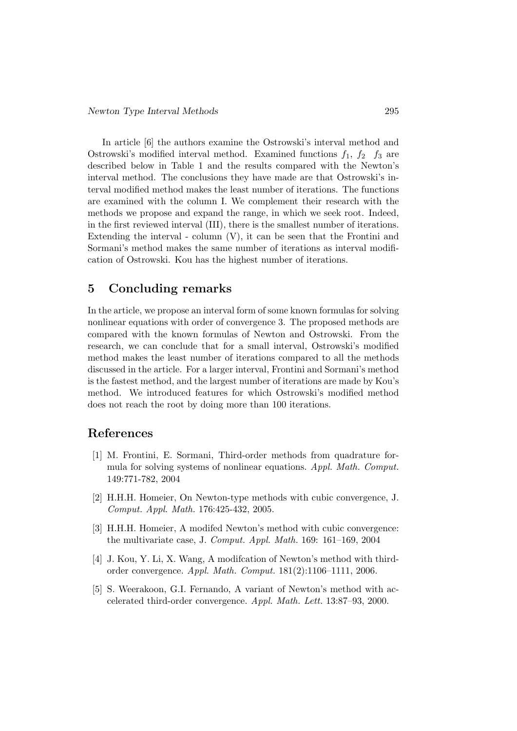In article [6] the authors examine the Ostrowski's interval method and Ostrowski's modified interval method. Examined functions  $f_1$ ,  $f_2$   $f_3$  are described below in Table 1 and the results compared with the Newton's interval method. The conclusions they have made are that Ostrowski's interval modified method makes the least number of iterations. The functions are examined with the column I. We complement their research with the methods we propose and expand the range, in which we seek root. Indeed, in the first reviewed interval (III), there is the smallest number of iterations. Extending the interval - column  $(V)$ , it can be seen that the Frontini and Sormani's method makes the same number of iterations as interval modification of Ostrowski. Kou has the highest number of iterations.

# 5 Concluding remarks

In the article, we propose an interval form of some known formulas for solving nonlinear equations with order of convergence 3. The proposed methods are compared with the known formulas of Newton and Ostrowski. From the research, we can conclude that for a small interval, Ostrowski's modified method makes the least number of iterations compared to all the methods discussed in the article. For a larger interval, Frontini and Sormani's method is the fastest method, and the largest number of iterations are made by Kou's method. We introduced features for which Ostrowski's modified method does not reach the root by doing more than 100 iterations.

#### References

- [1] M. Frontini, E. Sormani, Third-order methods from quadrature formula for solving systems of nonlinear equations. Appl. Math. Comput. 149:771-782, 2004
- [2] H.H.H. Homeier, On Newton-type methods with cubic convergence, J. Comput. Appl. Math. 176:425-432, 2005.
- [3] H.H.H. Homeier, A modifed Newton's method with cubic convergence: the multivariate case, J. Comput. Appl. Math. 169: 161–169, 2004
- [4] J. Kou, Y. Li, X. Wang, A modifcation of Newton's method with thirdorder convergence. Appl. Math. Comput. 181(2):1106–1111, 2006.
- [5] S. Weerakoon, G.I. Fernando, A variant of Newton's method with accelerated third-order convergence. Appl. Math. Lett. 13:87–93, 2000.